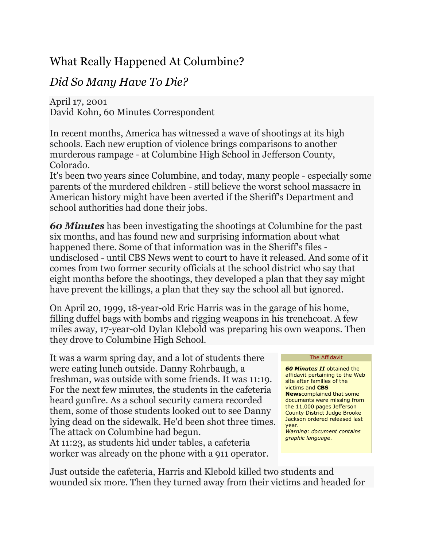## What Really Happened At Columbine?

## *Did So Many Have To Die?*

April 17, 2001 David Kohn, 60 Minutes Correspondent

In recent months, America has witnessed a wave of shootings at its high schools. Each new eruption of violence brings comparisons to another murderous rampage - at Columbine High School in Jefferson County, Colorado.

It's been two years since Columbine, and today, many people - especially some parents of the murdered children - still believe the worst school massacre in American history might have been averted if the Sheriff's Department and school authorities had done their jobs.

*60 Minutes* has been investigating the shootings at Columbine for the past six months, and has found new and surprising information about what happened there. Some of that information was in the Sheriff's files undisclosed - until CBS News went to court to have it released. And some of it comes from two former security officials at the school district who say that eight months before the shootings, they developed a plan that they say might have prevent the killings, a plan that they say the school all but ignored.

On April 20, 1999, 18-year-old Eric Harris was in the garage of his home, filling duffel bags with bombs and rigging weapons in his trenchcoat. A few miles away, 17-year-old Dylan Klebold was preparing his own weapons. Then they drove to Columbine High School.

It was a warm spring day, and a lot of students there were eating lunch outside. Danny Rohrbaugh, a freshman, was outside with some friends. It was 11:19. For the next few minutes, the students in the cafeteria heard gunfire. As a school security camera recorded them, some of those students looked out to see Danny lying dead on the sidewalk. He'd been shot three times. The attack on Columbine had begun.

At 11:23, as students hid under tables, a cafeteria worker was already on the phone with a 911 operator. [The Affidavit](http://cbsnews.com/htdocs/pdf/colombine_affidavit.pdf)

*60 Minutes II* obtained the affidavit pertaining to the Web site after families of the victims and **CBS News**complained that some documents were missing from the 11,000 pages Jefferson County District Judge Brooke Jackson ordered released last year.

*Warning: document contains graphic language*.

Just outside the cafeteria, Harris and Klebold killed two students and wounded six more. Then they turned away from their victims and headed for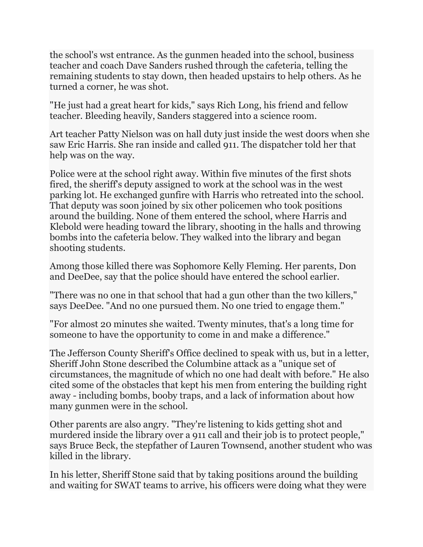the school's wst entrance. As the gunmen headed into the school, business teacher and coach Dave Sanders rushed through the cafeteria, telling the remaining students to stay down, then headed upstairs to help others. As he turned a corner, he was shot.

"He just had a great heart for kids," says Rich Long, his friend and fellow teacher. Bleeding heavily, Sanders staggered into a science room.

Art teacher Patty Nielson was on hall duty just inside the west doors when she saw Eric Harris. She ran inside and called 911. The dispatcher told her that help was on the way.

Police were at the school right away. Within five minutes of the first shots fired, the sheriff's deputy assigned to work at the school was in the west parking lot. He exchanged gunfire with Harris who retreated into the school. That deputy was soon joined by six other policemen who took positions around the building. None of them entered the school, where Harris and Klebold were heading toward the library, shooting in the halls and throwing bombs into the cafeteria below. They walked into the library and began shooting students.

Among those killed there was Sophomore Kelly Fleming. Her parents, Don and DeeDee, say that the police should have entered the school earlier.

"There was no one in that school that had a gun other than the two killers," says DeeDee. "And no one pursued them. No one tried to engage them."

"For almost 20 minutes she waited. Twenty minutes, that's a long time for someone to have the opportunity to come in and make a difference."

The Jefferson County Sheriff's Office declined to speak with us, but in a letter, Sheriff John Stone described the Columbine attack as a "unique set of circumstances, the magnitude of which no one had dealt with before." He also cited some of the obstacles that kept his men from entering the building right away - including bombs, booby traps, and a lack of information about how many gunmen were in the school.

Other parents are also angry. "They're listening to kids getting shot and murdered inside the library over a 911 call and their job is to protect people," says Bruce Beck, the stepfather of Lauren Townsend, another student who was killed in the library.

In his letter, Sheriff Stone said that by taking positions around the building and waiting for SWAT teams to arrive, his officers were doing what they were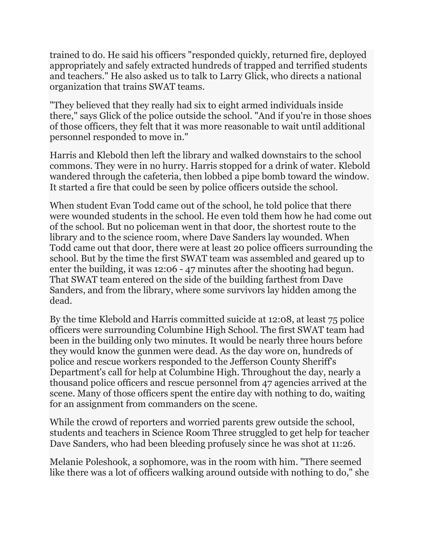trained to do. He said his officers "responded quickly, returned fire, deployed appropriately and safely extracted hundreds of trapped and terrified students and teachers." He also asked us to talk to Larry Glick, who directs a national organization that trains SWAT teams.

"They believed that they really had six to eight armed individuals inside there," says Glick of the police outside the school. "And if you're in those shoes of those officers, they felt that it was more reasonable to wait until additional personnel responded to move in."

Harris and Klebold then left the library and walked downstairs to the school commons. They were in no hurry. Harris stopped for a drink of water. Klebold wandered through the cafeteria, then lobbed a pipe bomb toward the window. It started a fire that could be seen by police officers outside the school.

When student Evan Todd came out of the school, he told police that there were wounded students in the school. He even told them how he had come out of the school. But no policeman went in that door, the shortest route to the library and to the science room, where Dave Sanders lay wounded. When Todd came out that door, there were at least 20 police officers surrounding the school. But by the time the first SWAT team was assembled and geared up to enter the building, it was 12:06 - 47 minutes after the shooting had begun. That SWAT team entered on the side of the building farthest from Dave Sanders, and from the library, where some survivors lay hidden among the dead.

By the time Klebold and Harris committed suicide at 12:08, at least 75 police officers were surrounding Columbine High School. The first SWAT team had been in the building only two minutes. It would be nearly three hours before they would know the gunmen were dead. As the day wore on, hundreds of police and rescue workers responded to the Jefferson County Sheriff's Department's call for help at Columbine High. Throughout the day, nearly a thousand police officers and rescue personnel from 47 agencies arrived at the scene. Many of those officers spent the entire day with nothing to do, waiting for an assignment from commanders on the scene.

While the crowd of reporters and worried parents grew outside the school, students and teachers in Science Room Three struggled to get help for teacher Dave Sanders, who had been bleeding profusely since he was shot at 11:26.

Melanie Poleshook, a sophomore, was in the room with him. "There seemed like there was a lot of officers walking around outside with nothing to do," she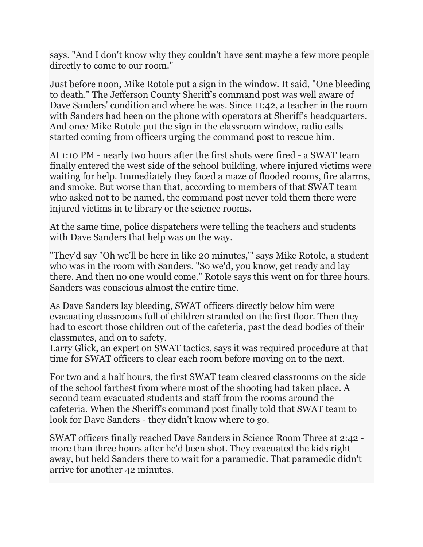says. "And I don't know why they couldn't have sent maybe a few more people directly to come to our room."

Just before noon, Mike Rotole put a sign in the window. It said, "One bleeding to death." The Jefferson County Sheriff's command post was well aware of Dave Sanders' condition and where he was. Since 11:42, a teacher in the room with Sanders had been on the phone with operators at Sheriff's headquarters. And once Mike Rotole put the sign in the classroom window, radio calls started coming from officers urging the command post to rescue him.

At 1:10 PM - nearly two hours after the first shots were fired - a SWAT team finally entered the west side of the school building, where injured victims were waiting for help. Immediately they faced a maze of flooded rooms, fire alarms, and smoke. But worse than that, according to members of that SWAT team who asked not to be named, the command post never told them there were injured victims in te library or the science rooms.

At the same time, police dispatchers were telling the teachers and students with Dave Sanders that help was on the way.

"They'd say "Oh we'll be here in like 20 minutes,'" says Mike Rotole, a student who was in the room with Sanders. "So we'd, you know, get ready and lay there. And then no one would come." Rotole says this went on for three hours. Sanders was conscious almost the entire time.

As Dave Sanders lay bleeding, SWAT officers directly below him were evacuating classrooms full of children stranded on the first floor. Then they had to escort those children out of the cafeteria, past the dead bodies of their classmates, and on to safety.

Larry Glick, an expert on SWAT tactics, says it was required procedure at that time for SWAT officers to clear each room before moving on to the next.

For two and a half hours, the first SWAT team cleared classrooms on the side of the school farthest from where most of the shooting had taken place. A second team evacuated students and staff from the rooms around the cafeteria. When the Sheriff's command post finally told that SWAT team to look for Dave Sanders - they didn't know where to go.

SWAT officers finally reached Dave Sanders in Science Room Three at 2:42 more than three hours after he'd been shot. They evacuated the kids right away, but held Sanders there to wait for a paramedic. That paramedic didn't arrive for another 42 minutes.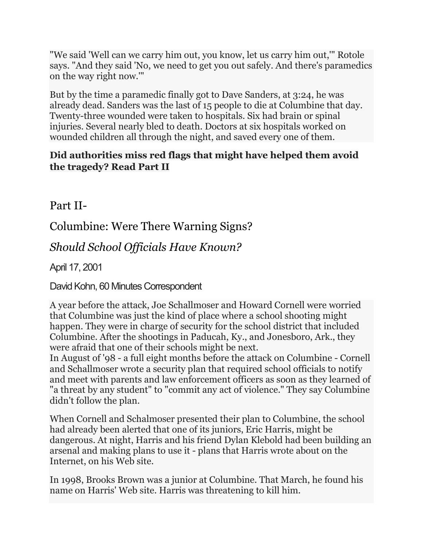"We said 'Well can we carry him out, you know, let us carry him out,'" Rotole says. "And they said 'No, we need to get you out safely. And there's paramedics on the way right now.'"

But by the time a paramedic finally got to Dave Sanders, at 3:24, he was already dead. Sanders was the last of 15 people to die at Columbine that day. Twenty-three wounded were taken to hospitals. Six had brain or spinal injuries. Several nearly bled to death. Doctors at six hospitals worked on wounded children all through the night, and saved every one of them.

## **Did authorities miss red flags that might have helped them avoid the tragedy? Read Part II**

Part II-

Columbine: Were There Warning Signs?

*Should School Officials Have Known?*

April 17, 2001

David Kohn, 60 Minutes Correspondent

A year before the attack, Joe Schallmoser and Howard Cornell were worried that Columbine was just the kind of place where a school shooting might happen. They were in charge of security for the school district that included Columbine. After the shootings in Paducah, Ky., and Jonesboro, Ark., they were afraid that one of their schools might be next.

In August of '98 - a full eight months before the attack on Columbine - Cornell and Schallmoser wrote a security plan that required school officials to notify and meet with parents and law enforcement officers as soon as they learned of "a threat by any student" to "commit any act of violence." They say Columbine didn't follow the plan.

When Cornell and Schalmoser presented their plan to Columbine, the school had already been alerted that one of its juniors, Eric Harris, might be dangerous. At night, Harris and his friend Dylan Klebold had been building an arsenal and making plans to use it - plans that Harris wrote about on the Internet, on his Web site.

In 1998, Brooks Brown was a junior at Columbine. That March, he found his name on Harris' Web site. Harris was threatening to kill him.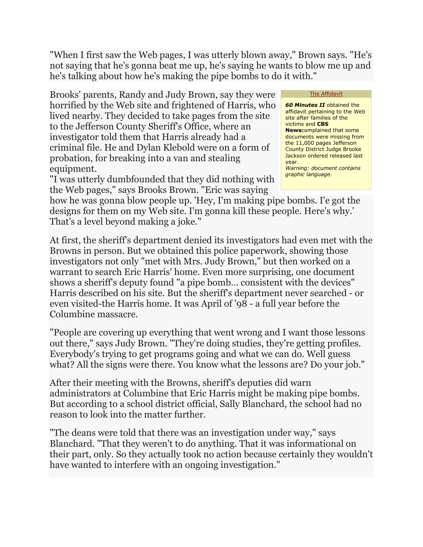"When I first saw the Web pages, I was utterly blown away," Brown says. "He's not saying that he's gonna beat me up, he's saying he wants to blow me up and he's talking about how he's making the pipe bombs to do it with."

Brooks' parents, Randy and Judy Brown, say they were horrified by the Web site and frightened of Harris, who lived nearby. They decided to take pages from the site to the Jefferson County Sheriff's Office, where an investigator told them that Harris already had a criminal file. He and Dylan Klebold were on a form of probation, for breaking into a van and stealing equipment.

"I was utterly dumbfounded that they did nothing with the Web pages," says Brooks Brown. "Eric was saying

## [The Affidavit](http://cbsnews.com/htdocs/pdf/colombine_affidavit.pdf)

*60 Minutes II* obtained the affidavit pertaining to the Web site after families of the victims and **CBS News**complained that some documents were missing from the 11,000 pages Jefferson County District Judge Brooke Jackson ordered released last year. *Warning: document contains graphic language*.

how he was gonna blow people up. 'Hey, I'm making pipe bombs. I'e got the designs for them on my Web site. I'm gonna kill these people. Here's why.' That's a level beyond making a joke."

At first, the sheriff's department denied its investigators had even met with the Browns in person. But we obtained this police paperwork, showing those investigators not only "met with Mrs. Judy Brown," but then worked on a warrant to search Eric Harris' home. Even more surprising, one document shows a sheriff's deputy found "a pipe bomb… consistent with the devices" Harris described on his site. But the sheriff's department never searched - or even visited-the Harris home. It was April of '98 - a full year before the Columbine massacre.

"People are covering up everything that went wrong and I want those lessons out there," says Judy Brown. "They're doing studies, they're getting profiles. Everybody's trying to get programs going and what we can do. Well guess what? All the signs were there. You know what the lessons are? Do your job."

After their meeting with the Browns, sheriff's deputies did warn administrators at Columbine that Eric Harris might be making pipe bombs. But according to a school district official, Sally Blanchard, the school had no reason to look into the matter further.

"The deans were told that there was an investigation under way," says Blanchard. "That they weren't to do anything. That it was informational on their part, only. So they actually took no action because certainly they wouldn't have wanted to interfere with an ongoing investigation."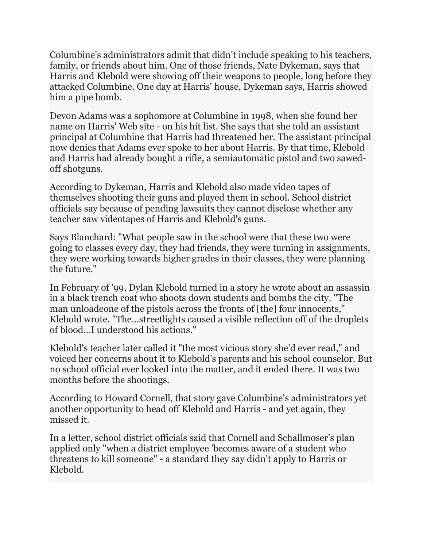Columbine's administrators admit that didn't include speaking to his teachers, family, or friends about him. One of those friends, Nate Dykeman, says that Harris and Klebold were showing off their weapons to people, long before they attacked Columbine. One day at Harris' house, Dykeman says, Harris showed him a pipe bomb.

Devon Adams was a sophomore at Columbine in 1998, when she found her name on Harris' Web site - on his hit list. She says that she told an assistant principal at Columbine that Harris had threatened her. The assistant principal now denies that Adams ever spoke to her about Harris. By that time, Klebold and Harris had already bought a rifle, a semiautomatic pistol and two sawedoff shotguns.

According to Dykeman, Harris and Klebold also made video tapes of themselves shooting their guns and played them in school. School district officials say because of pending lawsuits they cannot disclose whether any teacher saw videotapes of Harris and Klebold's guns.

Says Blanchard: "What people saw in the school were that these two were going to classes every day, they had friends, they were turning in assignments, they were working towards higher grades in their classes, they were planning the future."

In February of '99, Dylan Klebold turned in a story he wrote about an assassin in a black trench coat who shoots down students and bombs the city. "The man unloadeone of the pistols across the fronts of [the] four innocents," Klebold wrote. "The…streetlights caused a visible reflection off of the droplets of blood…I understood his actions."

Klebold's teacher later called it "the most vicious story she'd ever read," and voiced her concerns about it to Klebold's parents and his school counselor. But no school official ever looked into the matter, and it ended there. It was two months before the shootings.

According to Howard Cornell, that story gave Columbine's administrators yet another opportunity to head off Klebold and Harris - and yet again, they missed it.

In a letter, school district officials said that Cornell and Schallmoser's plan applied only "when a district employee 'becomes aware of a student who threatens to kill someone" - a standard they say didn't apply to Harris or Klebold.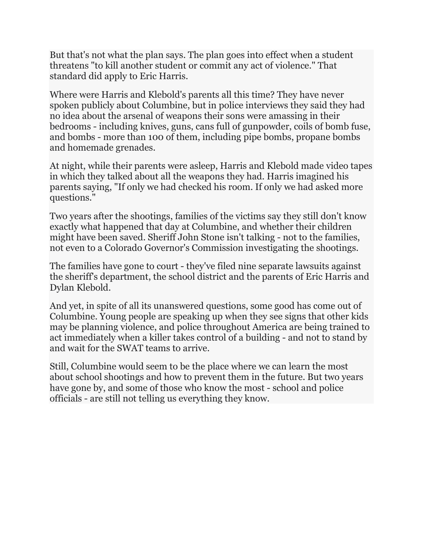But that's not what the plan says. The plan goes into effect when a student threatens "to kill another student or commit any act of violence." That standard did apply to Eric Harris.

Where were Harris and Klebold's parents all this time? They have never spoken publicly about Columbine, but in police interviews they said they had no idea about the arsenal of weapons their sons were amassing in their bedrooms - including knives, guns, cans full of gunpowder, coils of bomb fuse, and bombs - more than 100 of them, including pipe bombs, propane bombs and homemade grenades.

At night, while their parents were asleep, Harris and Klebold made video tapes in which they talked about all the weapons they had. Harris imagined his parents saying, "If only we had checked his room. If only we had asked more questions."

Two years after the shootings, families of the victims say they still don't know exactly what happened that day at Columbine, and whether their children might have been saved. Sheriff John Stone isn't talking - not to the families, not even to a Colorado Governor's Commission investigating the shootings.

The families have gone to court - they've filed nine separate lawsuits against the sheriff's department, the school district and the parents of Eric Harris and Dylan Klebold.

And yet, in spite of all its unanswered questions, some good has come out of Columbine. Young people are speaking up when they see signs that other kids may be planning violence, and police throughout America are being trained to act immediately when a killer takes control of a building - and not to stand by and wait for the SWAT teams to arrive.

Still, Columbine would seem to be the place where we can learn the most about school shootings and how to prevent them in the future. But two years have gone by, and some of those who know the most - school and police officials - are still not telling us everything they know.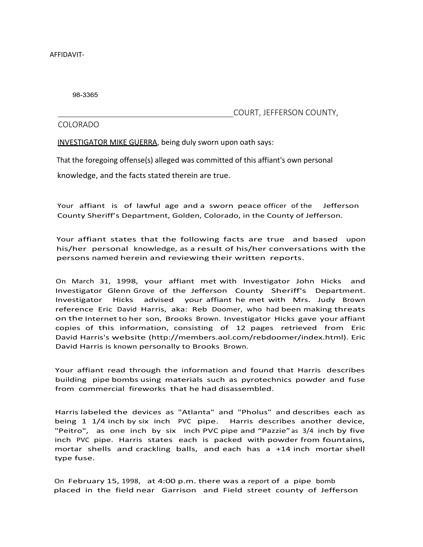AFFIDAVIT-

98-3365

COURT, JEFFERSON COUNTY,

COLORADO

INVESTIGATOR MIKE GUERRA, being duly sworn upon oath says:

That the foregoing offense(s) alleged was committed of this affiant's own personal

knowledge, and the facts stated therein are true.

Your affiant is of lawful age and a sworn peace officer of the Jefferson County Sheriff's Department, Golden, Colorado, in the County of Jefferson.

Your affiant states that the following facts are true and based upon his/her personal knowledge, as a result of his/her conversations with the persons named herein and reviewing their written reports.

On March 31, 1998, your affiant met with Investigator John Hicks and Investigator Glenn Grove of the Jefferson County Sheriff's Department. Investigator Hicks advised your affiant he met with Mrs. Judy Brown reference Eric David Harris, aka: Reb Doomer, who had been making threats on the Internet to her son, Brooks Brown. Investigator Hicks gave your affiant copies of this information, consisting of 12 pages retrieved from Eric David Harris's website [\(http://members.aol.com/rebdoomer/index.html\).](http://members.aol.com/rebdoomer/index.html)) Eric David Harris is known personally to Brooks Brown.

Your affiant read through the information and found that Harris describes building pipe bombs using materials such as pyrotechnics powder and fuse from commercial fireworks that he had disassembled.

Harris labeled the devices as "Atlanta" and "Pholus" and describes each as being 1 1/4 inch by six inch PVC pipe. Harris describes another device, "Peitro", as one inch by six inch PVC pipe and "Pazzie" as 3/4 inch by five inch PVC pipe. Harris states each is packed with powder from fountains, mortar shells and crackling balls, and each has a +14 inch mortar shell type fuse.

On February 15, 1998, at 4:00 p.m. there was a report of a pipe bomb placed in the field near Garrison and Field street county of Jefferson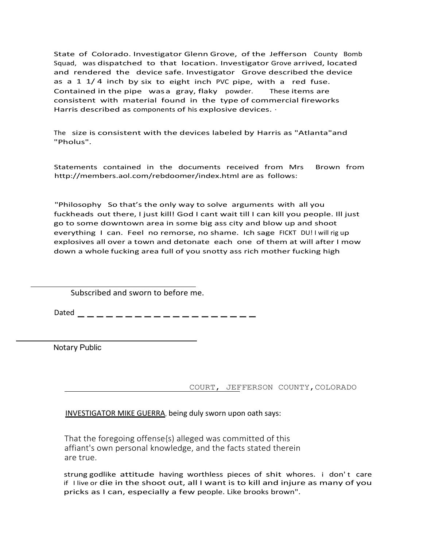State of Colorado. Investigator Glenn Grove, of the Jefferson County Bomb Squad, was dispatched to that location. Investigator Grove arrived, located and rendered the device safe. Investigator Grove described the device as a 1  $1/4$  inch by six to eight inch PVC pipe, with a red fuse. Contained in the pipe wasa gray, flaky powder. These items are consistent with material found in the type of commercial fireworks Harris described as components of his explosive devices.  $\cdot$ 

The size is consistent with the devices labeled by Harris as "Atlanta"and "Pholus".

Statements contained in the documents received from Mrs Brown from <http://members.aol.com/rebdoomer/index.html> are as follows:

"Philosophy So that's the only way to solve arguments with all you fuckheads out there, I just kill! God I cant wait till I can kill you people. Ill just go to some downtown area in some big ass city and blow up and shoot everything I can. Feel no remorse, no shame. Ich sage FICKT DU! I will rig up explosives all over a town and detonate each one of them at will after I mow down a whole fucking area full of you snotty ass rich mother fucking high

Subscribed and sworn to before me.

Dated -------------------

Notary Public

COURT, JEFFERSON COUNTY,COLORADO

INVESTIGATOR MIKE GUERRA, being duly sworn upon oath says:

That the foregoing offense{s) alleged was committed of this affiant's own personal knowledge, and the facts stated therein are true.

strung godlike attitude having worthless pieces of shit whores. i don't care if I live or die in the shoot out, all I want is to kill and injure as many of you pricks as I can, especially a few people. Like brooks brown".